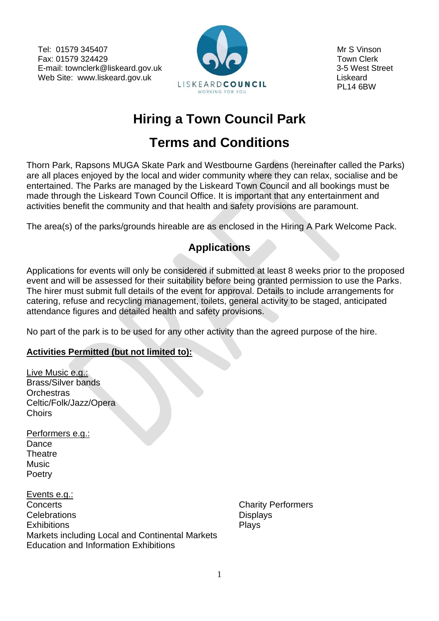Tel: 01579 345407 Mr S Vinson Fax: 01579 324429 **Town Clerk** E-mail: townclerk@liskeard.gov.uk 3-5 West Street Web Site: www.liskeard.gov.uk Liskeard.gov.uk Liskeard and Liskeard Liskeard Liskeard



# **Hiring a Town Council Park**

# **Terms and Conditions**

Thorn Park, Rapsons MUGA Skate Park and Westbourne Gardens (hereinafter called the Parks) are all places enjoyed by the local and wider community where they can relax, socialise and be entertained. The Parks are managed by the Liskeard Town Council and all bookings must be made through the Liskeard Town Council Office. It is important that any entertainment and activities benefit the community and that health and safety provisions are paramount.

The area(s) of the parks/grounds hireable are as enclosed in the Hiring A Park Welcome Pack.

# **Applications**

Applications for events will only be considered if submitted at least 8 weeks prior to the proposed event and will be assessed for their suitability before being granted permission to use the Parks. The hirer must submit full details of the event for approval. Details to include arrangements for catering, refuse and recycling management, toilets, general activity to be staged, anticipated attendance figures and detailed health and safety provisions.

No part of the park is to be used for any other activity than the agreed purpose of the hire.

#### **Activities Permitted (but not limited to):**

| Live Music e.g.:          |
|---------------------------|
| <b>Brass/Silver bands</b> |
| Orchestras                |
| Celtic/Folk/Jazz/Opera    |
| Choirs                    |

Performers e.g.: Dance **Theatre Music** Poetry

Events e.g.: **Concerts** Concerts **Concerts** Concerts **Concerts** Concerts **Concerts** Concerts **Concerts** Concerts **Concerts** Concerts **Concerts** Concerts **Concerts** Concerts **Concerts** Concerts **Concerts** Concerts **Concerts** Concerts **C** Celebrations **Displays** Displays Exhibitions **Plays** Markets including Local and Continental Markets Education and Information Exhibitions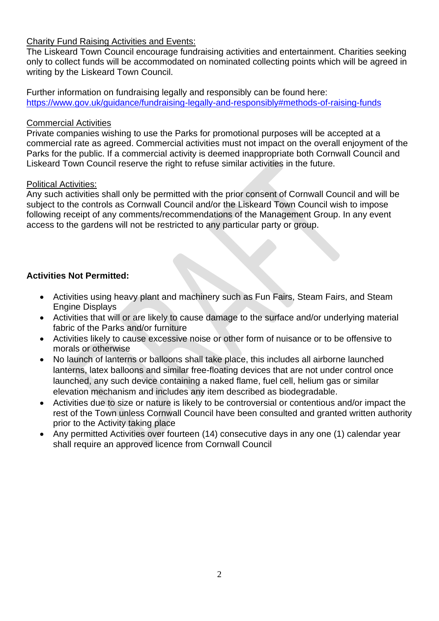#### Charity Fund Raising Activities and Events:

The Liskeard Town Council encourage fundraising activities and entertainment. Charities seeking only to collect funds will be accommodated on nominated collecting points which will be agreed in writing by the Liskeard Town Council.

Further information on fundraising legally and responsibly can be found here: <https://www.gov.uk/guidance/fundraising-legally-and-responsibly#methods-of-raising-funds>

#### Commercial Activities

Private companies wishing to use the Parks for promotional purposes will be accepted at a commercial rate as agreed. Commercial activities must not impact on the overall enjoyment of the Parks for the public. If a commercial activity is deemed inappropriate both Cornwall Council and Liskeard Town Council reserve the right to refuse similar activities in the future.

#### Political Activities:

Any such activities shall only be permitted with the prior consent of Cornwall Council and will be subject to the controls as Cornwall Council and/or the Liskeard Town Council wish to impose following receipt of any comments/recommendations of the Management Group. In any event access to the gardens will not be restricted to any particular party or group.

#### **Activities Not Permitted:**

- Activities using heavy plant and machinery such as Fun Fairs, Steam Fairs, and Steam Engine Displays
- Activities that will or are likely to cause damage to the surface and/or underlying material fabric of the Parks and/or furniture
- Activities likely to cause excessive noise or other form of nuisance or to be offensive to morals or otherwise
- No launch of lanterns or balloons shall take place, this includes all airborne launched lanterns, latex balloons and similar free-floating devices that are not under control once launched, any such device containing a naked flame, fuel cell, helium gas or similar elevation mechanism and includes any item described as biodegradable.
- Activities due to size or nature is likely to be controversial or contentious and/or impact the rest of the Town unless Cornwall Council have been consulted and granted written authority prior to the Activity taking place
- Any permitted Activities over fourteen (14) consecutive days in any one (1) calendar year shall require an approved licence from Cornwall Council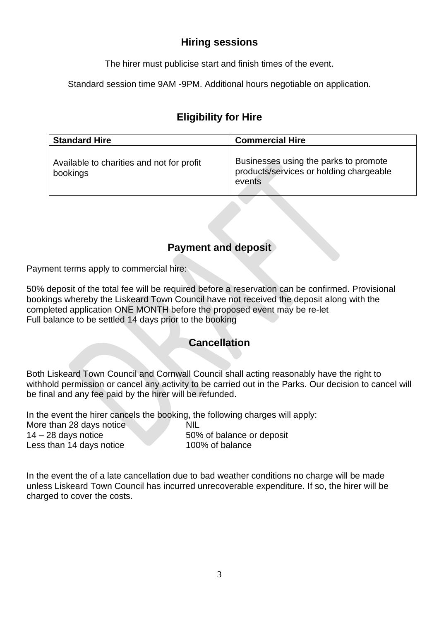## **Hiring sessions**

The hirer must publicise start and finish times of the event.

Standard session time 9AM -9PM. Additional hours negotiable on application*.* 

## **Eligibility for Hire**

| <b>Standard Hire</b>                                  | <b>Commercial Hire</b>                                                                     |
|-------------------------------------------------------|--------------------------------------------------------------------------------------------|
| Available to charities and not for profit<br>bookings | Businesses using the parks to promote<br>products/services or holding chargeable<br>events |

# **Payment and deposit**

Payment terms apply to commercial hire:

50% deposit of the total fee will be required before a reservation can be confirmed. Provisional bookings whereby the Liskeard Town Council have not received the deposit along with the completed application ONE MONTH before the proposed event may be re-let Full balance to be settled 14 days prior to the booking

## **Cancellation**

Both Liskeard Town Council and Cornwall Council shall acting reasonably have the right to withhold permission or cancel any activity to be carried out in the Parks. Our decision to cancel will be final and any fee paid by the hirer will be refunded.

In the event the hirer cancels the booking, the following charges will apply:

More than 28 days notice NIL 14 – 28 days notice 50% of balance or deposit Less than 14 days notice 100% of balance

In the event the of a late cancellation due to bad weather conditions no charge will be made unless Liskeard Town Council has incurred unrecoverable expenditure. If so, the hirer will be charged to cover the costs.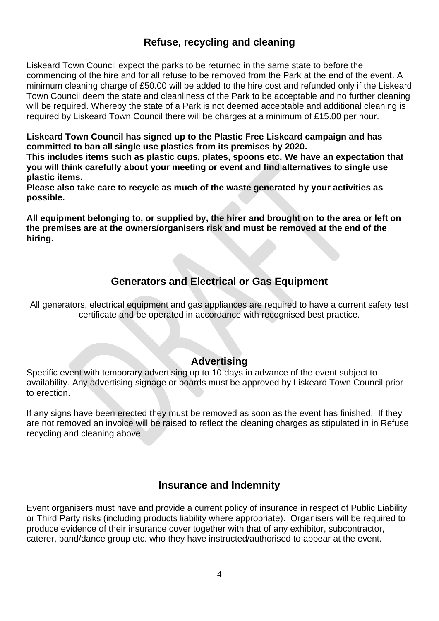## **Refuse, recycling and cleaning**

Liskeard Town Council expect the parks to be returned in the same state to before the commencing of the hire and for all refuse to be removed from the Park at the end of the event. A minimum cleaning charge of £50.00 will be added to the hire cost and refunded only if the Liskeard Town Council deem the state and cleanliness of the Park to be acceptable and no further cleaning will be required. Whereby the state of a Park is not deemed acceptable and additional cleaning is required by Liskeard Town Council there will be charges at a minimum of £15.00 per hour.

**Liskeard Town Council has signed up to the Plastic Free Liskeard campaign and has committed to ban all single use plastics from its premises by 2020.**

**This includes items such as plastic cups, plates, spoons etc. We have an expectation that you will think carefully about your meeting or event and find alternatives to single use plastic items.**

**Please also take care to recycle as much of the waste generated by your activities as possible.**

**All equipment belonging to, or supplied by, the hirer and brought on to the area or left on the premises are at the owners/organisers risk and must be removed at the end of the hiring.**

## **Generators and Electrical or Gas Equipment**

All generators, electrical equipment and gas appliances are required to have a current safety test certificate and be operated in accordance with recognised best practice.

#### **Advertising**

Specific event with temporary advertising up to 10 days in advance of the event subject to availability. Any advertising signage or boards must be approved by Liskeard Town Council prior to erection.

If any signs have been erected they must be removed as soon as the event has finished. If they are not removed an invoice will be raised to reflect the cleaning charges as stipulated in in Refuse, recycling and cleaning above.

#### **Insurance and Indemnity**

Event organisers must have and provide a current policy of insurance in respect of Public Liability or Third Party risks (including products liability where appropriate). Organisers will be required to produce evidence of their insurance cover together with that of any exhibitor, subcontractor, caterer, band/dance group etc. who they have instructed/authorised to appear at the event.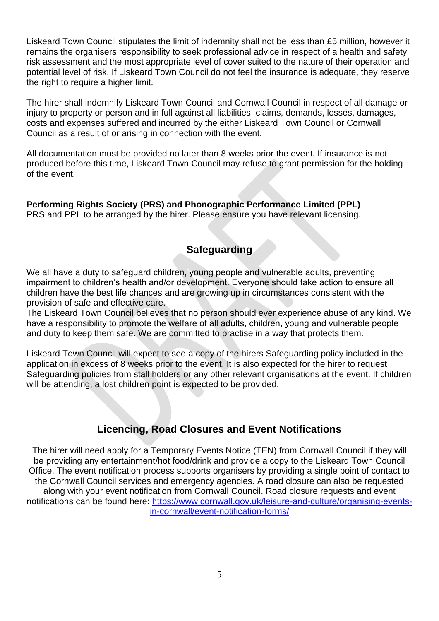Liskeard Town Council stipulates the limit of indemnity shall not be less than £5 million, however it remains the organisers responsibility to seek professional advice in respect of a health and safety risk assessment and the most appropriate level of cover suited to the nature of their operation and potential level of risk. If Liskeard Town Council do not feel the insurance is adequate, they reserve the right to require a higher limit.

The hirer shall indemnify Liskeard Town Council and Cornwall Council in respect of all damage or injury to property or person and in full against all liabilities, claims, demands, losses, damages, costs and expenses suffered and incurred by the either Liskeard Town Council or Cornwall Council as a result of or arising in connection with the event.

All documentation must be provided no later than 8 weeks prior the event. If insurance is not produced before this time, Liskeard Town Council may refuse to grant permission for the holding of the event.

**Performing Rights Society (PRS) and Phonographic Performance Limited (PPL)** PRS and PPL to be arranged by the hirer. Please ensure you have relevant licensing.

#### **Safeguarding**

We all have a duty to safeguard children, young people and vulnerable adults, preventing impairment to children's health and/or development. Everyone should take action to ensure all children have the best life chances and are growing up in circumstances consistent with the provision of safe and effective care.

The Liskeard Town Council believes that no person should ever experience abuse of any kind. We have a responsibility to promote the welfare of all adults, children, young and vulnerable people and duty to keep them safe. We are committed to practise in a way that protects them.

Liskeard Town Council will expect to see a copy of the hirers Safeguarding policy included in the application in excess of 8 weeks prior to the event. It is also expected for the hirer to request Safeguarding policies from stall holders or any other relevant organisations at the event. If children will be attending, a lost children point is expected to be provided.

### **Licencing, Road Closures and Event Notifications**

The hirer will need apply for a Temporary Events Notice (TEN) from Cornwall Council if they will be providing any entertainment/hot food/drink and provide a copy to the Liskeard Town Council Office. The event notification process supports organisers by providing a single point of contact to the Cornwall Council services and emergency agencies. A road closure can also be requested along with your event notification from Cornwall Council. Road closure requests and event notifications can be found here: [https://www.cornwall.gov.uk/leisure-and-culture/organising-events](https://www.cornwall.gov.uk/leisure-and-culture/organising-events-in-cornwall/event-notification-forms/)[in-cornwall/event-notification-forms/](https://www.cornwall.gov.uk/leisure-and-culture/organising-events-in-cornwall/event-notification-forms/)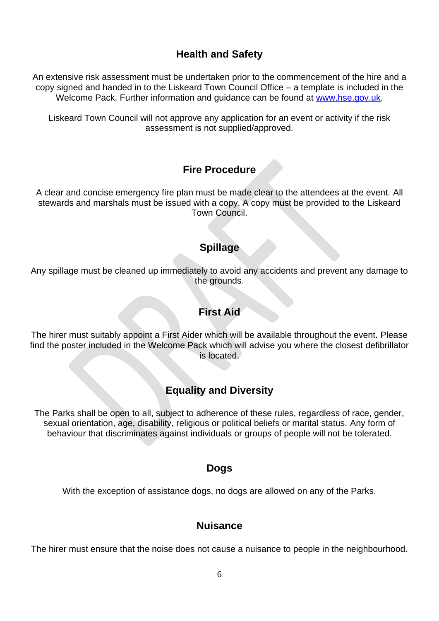## **Health and Safety**

An extensive risk assessment must be undertaken prior to the commencement of the hire and a copy signed and handed in to the Liskeard Town Council Office – a template is included in the Welcome Pack. Further information and guidance can be found at [www.hse.gov.uk.](http://www.hse.gov.uk/)

Liskeard Town Council will not approve any application for an event or activity if the risk assessment is not supplied/approved.

### **Fire Procedure**

A clear and concise emergency fire plan must be made clear to the attendees at the event. All stewards and marshals must be issued with a copy. A copy must be provided to the Liskeard Town Council.

#### **Spillage**

Any spillage must be cleaned up immediately to avoid any accidents and prevent any damage to the grounds.

#### **First Aid**

The hirer must suitably appoint a First Aider which will be available throughout the event. Please find the poster included in the Welcome Pack which will advise you where the closest defibrillator is located.

### **Equality and Diversity**

The Parks shall be open to all, subject to adherence of these rules, regardless of race, gender, sexual orientation, age, disability, religious or political beliefs or marital status. Any form of behaviour that discriminates against individuals or groups of people will not be tolerated.

#### **Dogs**

With the exception of assistance dogs, no dogs are allowed on any of the Parks.

#### **Nuisance**

The hirer must ensure that the noise does not cause a nuisance to people in the neighbourhood.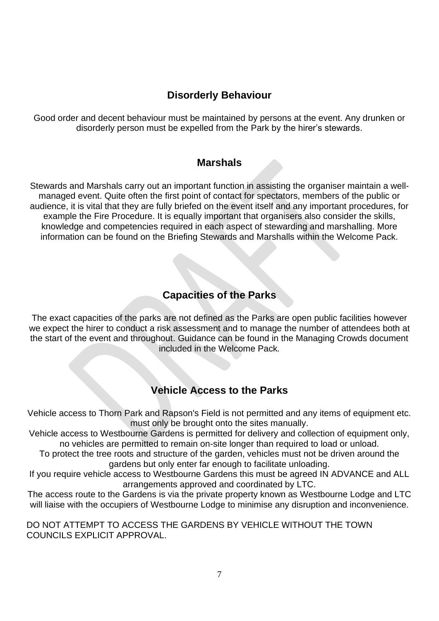## **Disorderly Behaviour**

Good order and decent behaviour must be maintained by persons at the event. Any drunken or disorderly person must be expelled from the Park by the hirer's stewards.

#### **Marshals**

Stewards and Marshals carry out an important function in assisting the organiser maintain a wellmanaged event. Quite often the first point of contact for spectators, members of the public or audience, it is vital that they are fully briefed on the event itself and any important procedures, for example the Fire Procedure. It is equally important that organisers also consider the skills, knowledge and competencies required in each aspect of stewarding and marshalling. More information can be found on the Briefing Stewards and Marshalls within the Welcome Pack.

## **Capacities of the Parks**

The exact capacities of the parks are not defined as the Parks are open public facilities however we expect the hirer to conduct a risk assessment and to manage the number of attendees both at the start of the event and throughout. Guidance can be found in the Managing Crowds document included in the Welcome Pack*.* 

### **Vehicle Access to the Parks**

Vehicle access to Thorn Park and Rapson's Field is not permitted and any items of equipment etc. must only be brought onto the sites manually.

Vehicle access to Westbourne Gardens is permitted for delivery and collection of equipment only, no vehicles are permitted to remain on-site longer than required to load or unload.

To protect the tree roots and structure of the garden, vehicles must not be driven around the gardens but only enter far enough to facilitate unloading.

If you require vehicle access to Westbourne Gardens this must be agreed IN ADVANCE and ALL arrangements approved and coordinated by LTC.

The access route to the Gardens is via the private property known as Westbourne Lodge and LTC will liaise with the occupiers of Westbourne Lodge to minimise any disruption and inconvenience.

DO NOT ATTEMPT TO ACCESS THE GARDENS BY VEHICLE WITHOUT THE TOWN COUNCILS EXPLICIT APPROVAL.